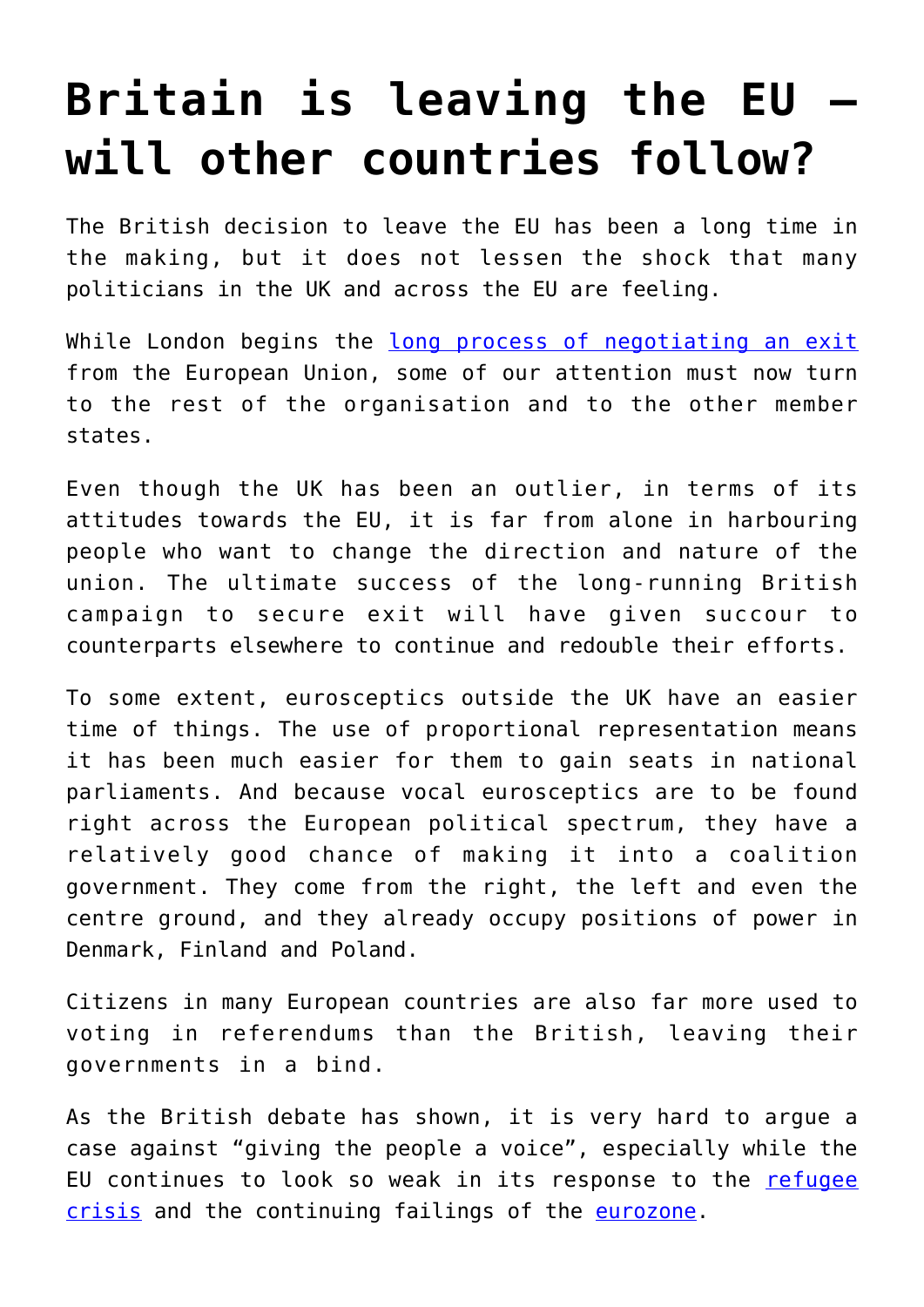## **[Britain is leaving the EU –](https://intellectualtakeout.org/2016/06/britain-is-leaving-the-eu-will-other-countries-follow/) [will other countries follow?](https://intellectualtakeout.org/2016/06/britain-is-leaving-the-eu-will-other-countries-follow/)**

The British decision to leave the EU has been a long time in the making, but it does not lessen the shock that many politicians in the UK and across the EU are feeling.

While London begins the [long process of negotiating an exit](https://theconversation.com/forecast-britain-votes-to-leave-the-eu-what-happens-next-61420) from the European Union, some of our attention must now turn to the rest of the organisation and to the other member states.

Even though the UK has been an outlier, in terms of its attitudes towards the EU, it is far from alone in harbouring people who want to change the direction and nature of the union. The ultimate success of the long-running British campaign to secure exit will have given succour to counterparts elsewhere to continue and redouble their efforts.

To some extent, eurosceptics outside the UK have an easier time of things. The use of proportional representation means it has been much easier for them to gain seats in national parliaments. And because vocal eurosceptics are to be found right across the European political spectrum, they have a relatively good chance of making it into a coalition government. They come from the right, the left and even the centre ground, and they already occupy positions of power in Denmark, Finland and Poland.

Citizens in many European countries are also far more used to voting in referendums than the British, leaving their governments in a bind.

As the British debate has shown, it is very hard to argue a case against "giving the people a voice", especially while the EU continues to look so weak in its response to the [refugee](https://theconversation.com/uk/topics/refugee-crisis) [crisis](https://theconversation.com/uk/topics/refugee-crisis) and the continuing failings of the [eurozone.](https://theconversation.com/uk/topics/eurozone)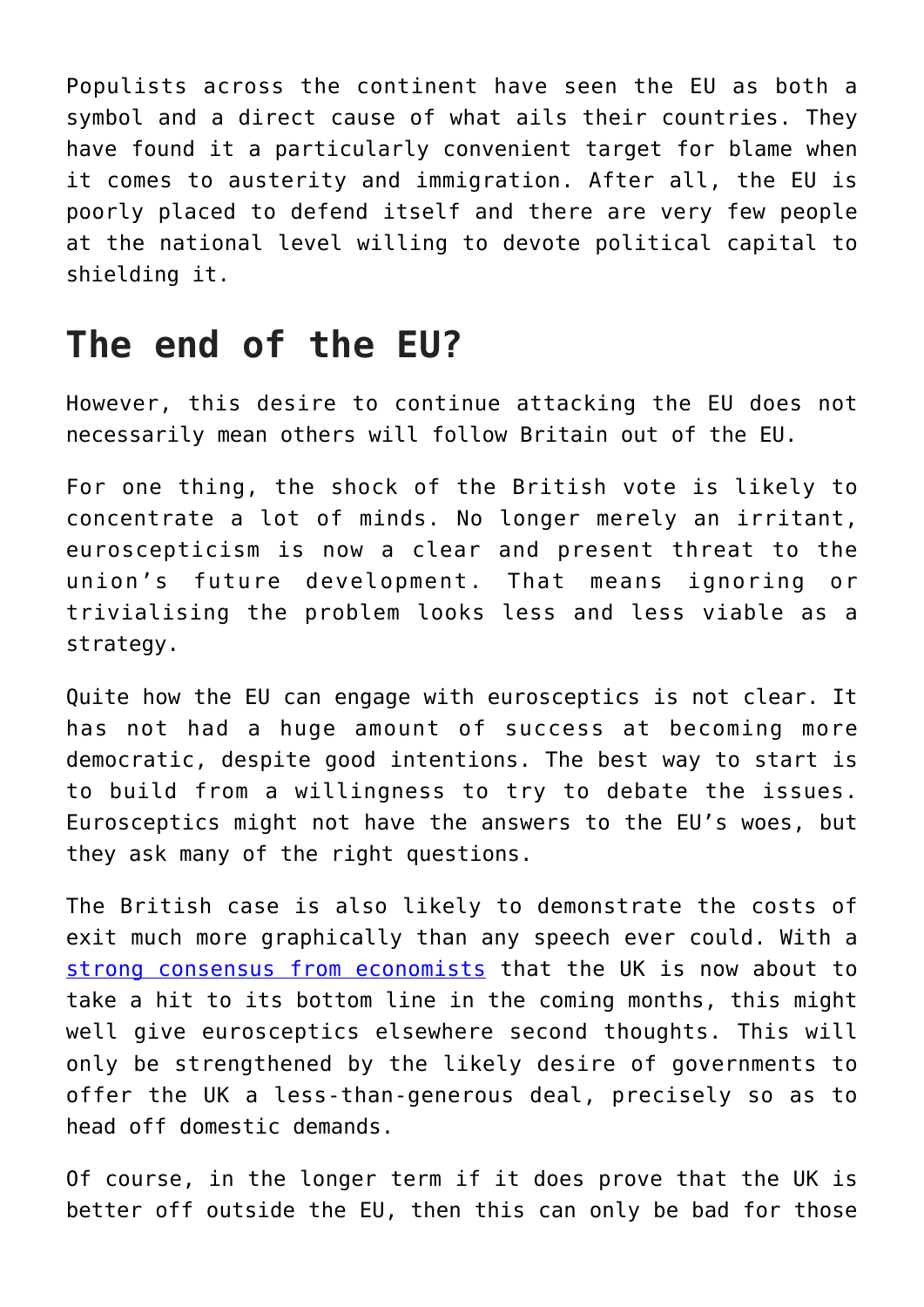Populists across the continent have seen the EU as both a symbol and a direct cause of what ails their countries. They have found it a particularly convenient target for blame when it comes to austerity and immigration. After all, the EU is poorly placed to defend itself and there are very few people at the national level willing to devote political capital to shielding it.

## **The end of the EU?**

However, this desire to continue attacking the EU does not necessarily mean others will follow Britain out of the EU.

For one thing, the shock of the British vote is likely to concentrate a lot of minds. No longer merely an irritant, euroscepticism is now a clear and present threat to the union's future development. That means ignoring or trivialising the problem looks less and less viable as a strategy.

Quite how the EU can engage with eurosceptics is not clear. It has not had a huge amount of success at becoming more democratic, despite good intentions. The best way to start is to build from a willingness to try to debate the issues. Eurosceptics might not have the answers to the EU's woes, but they ask many of the right questions.

The British case is also likely to demonstrate the costs of exit much more graphically than any speech ever could. With a [strong consensus from economists](https://theconversation.com/why-is-the-academic-consensus-on-the-cost-of-brexit-being-ignored-59540) that the UK is now about to take a hit to its bottom line in the coming months, this might well give eurosceptics elsewhere second thoughts. This will only be strengthened by the likely desire of governments to offer the UK a less-than-generous deal, precisely so as to head off domestic demands.

Of course, in the longer term if it does prove that the UK is better off outside the EU, then this can only be bad for those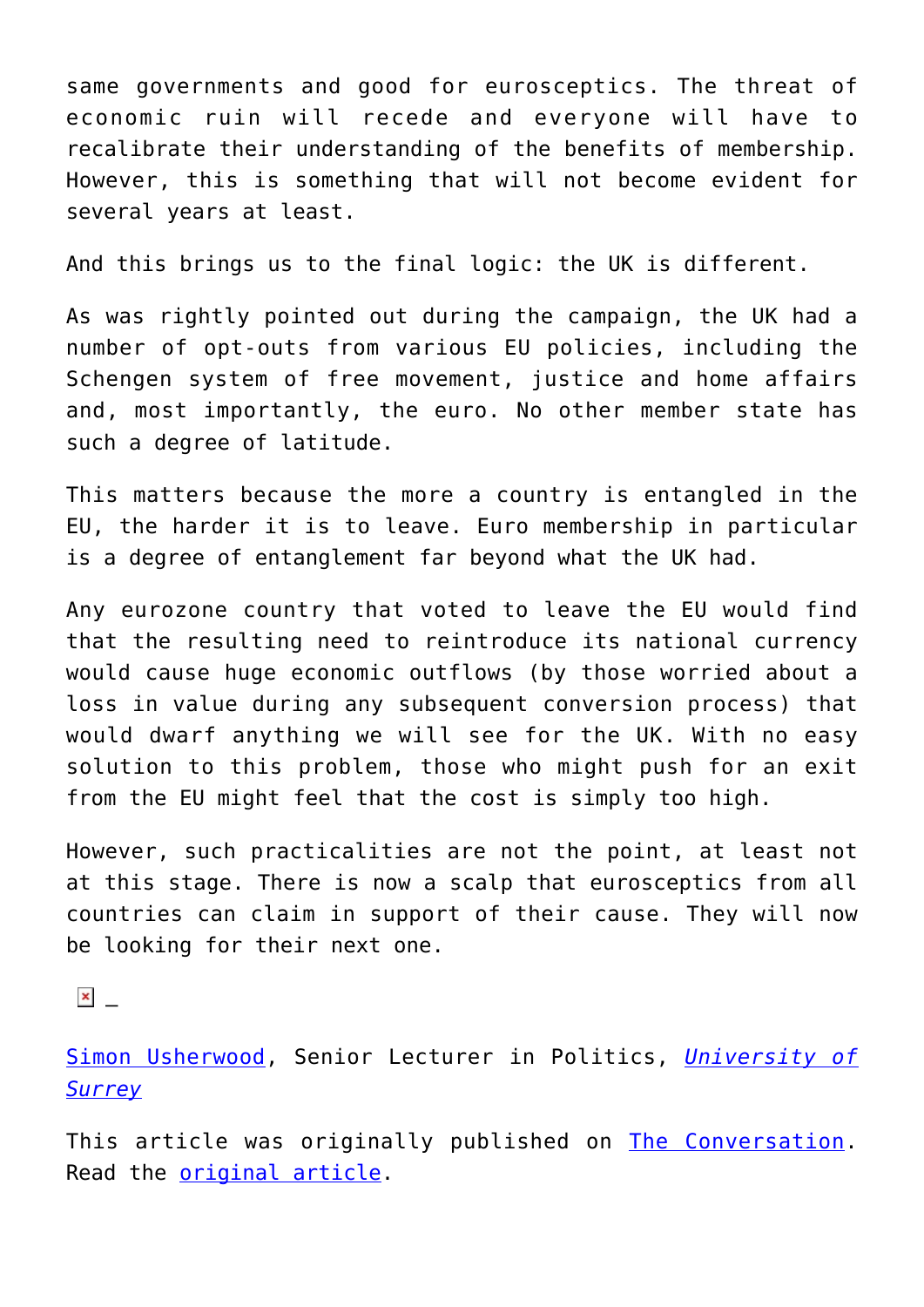same governments and good for eurosceptics. The threat of economic ruin will recede and everyone will have to recalibrate their understanding of the benefits of membership. However, this is something that will not become evident for several years at least.

And this brings us to the final logic: the UK is different.

As was rightly pointed out during the campaign, the UK had a number of opt-outs from various EU policies, including the Schengen system of free movement, justice and home affairs and, most importantly, the euro. No other member state has such a degree of latitude.

This matters because the more a country is entangled in the EU, the harder it is to leave. Euro membership in particular is a degree of entanglement far beyond what the UK had.

Any eurozone country that voted to leave the EU would find that the resulting need to reintroduce its national currency would cause huge economic outflows (by those worried about a loss in value during any subsequent conversion process) that would dwarf anything we will see for the UK. With no easy solution to this problem, those who might push for an exit from the EU might feel that the cost is simply too high.

However, such practicalities are not the point, at least not at this stage. There is now a scalp that eurosceptics from all countries can claim in support of their cause. They will now be looking for their next one.

 $\propto$ 

[Simon Usherwood](http://theconversation.com/profiles/simon-usherwood-93719), Senior Lecturer in Politics, *[University of](http://theconversation.com/institutions/university-of-surrey) [Surrey](http://theconversation.com/institutions/university-of-surrey)*

This article was originally published on [The Conversation.](http://theconversation.com) Read the [original article.](https://theconversation.com/britain-is-leaving-the-eu-will-other-countries-follow-61460)